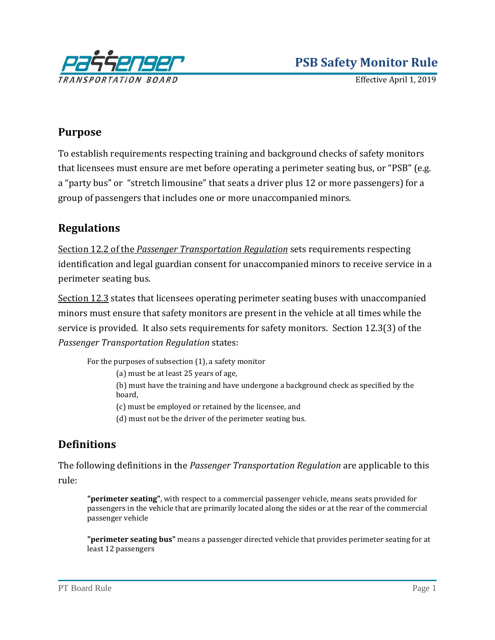

Effective April 1, 2019

## **Purpose**

To establish requirements respecting training and background checks of safety monitors that licensees must ensure are met before operating a perimeter seating bus, or "PSB" (e.g. a "party bus" or "stretch limousine" that seats a driver plus 12 or more passengers) for a group of passengers that includes one or more unaccompanied minors.

## **Regulations**

Section 12.2 of the *[Passenger Transportation Regulation](http://www.bclaws.ca/EPLibraries/bclaws_new/document/ID/freeside/266_2004#section12.2)* sets requirements respecting identification and legal guardian consent for unaccompanied minors to receive service in a perimeter seating bus.

[Section 12.3](http://www.bclaws.ca/EPLibraries/bclaws_new/document/ID/freeside/266_2004#section12.3) states that licensees operating perimeter seating buses with unaccompanied minors must ensure that safety monitors are present in the vehicle at all times while the service is provided. It also sets requirements for safety monitors. Section 12.3(3) of the *Passenger Transportation Regulation* states:

For the purposes of subsection (1), a safety monitor

(a) must be at least 25 years of age,

(b) must have the training and have undergone a background check as specified by the board,

(c) must be employed or retained by the licensee, and

(d) must not be the driver of the perimeter seating bus.

# **Definitions**

The following definitions in the *Passenger Transportation Regulation* are applicable to this rule:

**"perimeter seating"**, with respect to a commercial passenger vehicle, means seats provided for passengers in the vehicle that are primarily located along the sides or at the rear of the commercial passenger vehicle

**"perimeter seating bus"** means a passenger directed vehicle that provides perimeter seating for at least 12 passengers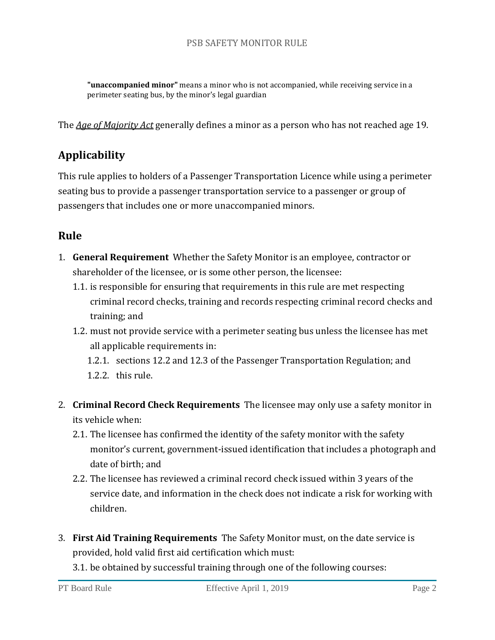#### PSB SAFETY MONITOR RULE

**"unaccompanied minor"** means a minor who is not accompanied, while receiving service in a perimeter seating bus, by the minor's legal guardian

The *[Age of Majority Act](http://www.bclaws.ca/Recon/document/ID/freeside/00_96007_01)* generally defines a minor as a person who has not reached age 19.

# **Applicability**

This rule applies to holders of a Passenger Transportation Licence while using a perimeter seating bus to provide a passenger transportation service to a passenger or group of passengers that includes one or more unaccompanied minors.

## **Rule**

- 1. **General Requirement** Whether the Safety Monitor is an employee, contractor or shareholder of the licensee, or is some other person, the licensee:
	- 1.1. is responsible for ensuring that requirements in this rule are met respecting criminal record checks, training and records respecting criminal record checks and training; and
	- 1.2. must not provide service with a perimeter seating bus unless the licensee has met all applicable requirements in:
		- 1.2.1. sections 12.2 and 12.3 of the Passenger Transportation Regulation; and 1.2.2. this rule.
- 2. **Criminal Record Check Requirements** The licensee may only use a safety monitor in its vehicle when:
	- 2.1. The licensee has confirmed the identity of the safety monitor with the safety monitor's current, government-issued identification that includes a photograph and date of birth; and
	- 2.2. The licensee has reviewed a criminal record check issued within 3 years of the service date, and information in the check does not indicate a risk for working with children.
- 3. **First Aid Training Requirements** The Safety Monitor must, on the date service is provided, hold valid first aid certification which must:
	- 3.1. be obtained by successful training through one of the following courses: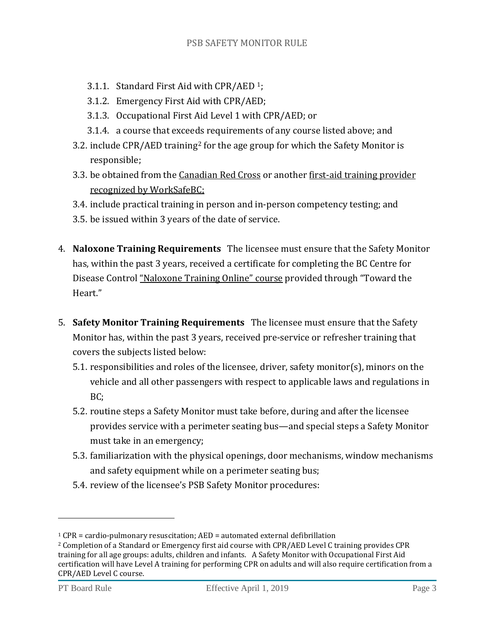- 3.1.1. Standard First Aid with CPR/AED [1;](#page-2-0)
- 3.1.2. Emergency First Aid with CPR/AED;
- 3.1.3. Occupational First Aid Level 1 with CPR/AED; or
- 3.1.4. a course that excee[ds](#page-2-1) requirements of any course listed above; and
- 3.2. include CPR/AED training<sup>2</sup> for the age group for which the Safety Monitor is responsible;
- 3.3. be obtained from the [Canadian Red Cross](https://www.redcross.ca/in-your-community/british-columbia-and-yukon/first-aid-and-cpr) or another [first-aid training provider](https://www.worksafebc.com/en/resources/health-safety/information-sheets/first-aid-training-providers?lang=en)  [recognized by WorkSafeBC;](https://www.worksafebc.com/en/resources/health-safety/information-sheets/first-aid-training-providers?lang=en)
- 3.4. include practical training in person and in-person competency testing; and
- 3.5. be issued within 3 years of the date of service.
- 4. **Naloxone Training Requirements** The licensee must ensure that the Safety Monitor has, within the past 3 years, received a certificate for completing the BC Centre for Disease Control ["Naloxone Training Online" course](https://www.stopoverdose.gov.bc.ca/theweekly/naloxone-training-online) provided through "Toward the Heart."
- 5. **Safety Monitor Training Requirements** The licensee must ensure that the Safety Monitor has, within the past 3 years, received pre-service or refresher training that covers the subjects listed below:
	- 5.1. responsibilities and roles of the licensee, driver, safety monitor(s), minors on the vehicle and all other passengers with respect to applicable laws and regulations in BC;
	- 5.2. routine steps a Safety Monitor must take before, during and after the licensee provides service with a perimeter seating bus—and special steps a Safety Monitor must take in an emergency;
	- 5.3. familiarization with the physical openings, door mechanisms, window mechanisms and safety equipment while on a perimeter seating bus;
	- 5.4. review of the licensee's PSB Safety Monitor procedures:

i<br>I

<span id="page-2-1"></span><span id="page-2-0"></span><sup>&</sup>lt;sup>1</sup> CPR = cardio-pulmonary resuscitation; AED = automated external defibrillation  $\frac{2 \text{ C}}{2 \text{ C}}$  Completion of a Standard or Emergency first aid course with CPR/AED Level C training provides CPR training for all age groups: adults, children and infants. A Safety Monitor with Occupational First Aid certification will have Level A training for performing CPR on adults and will also require certification from a CPR/AED Level C course.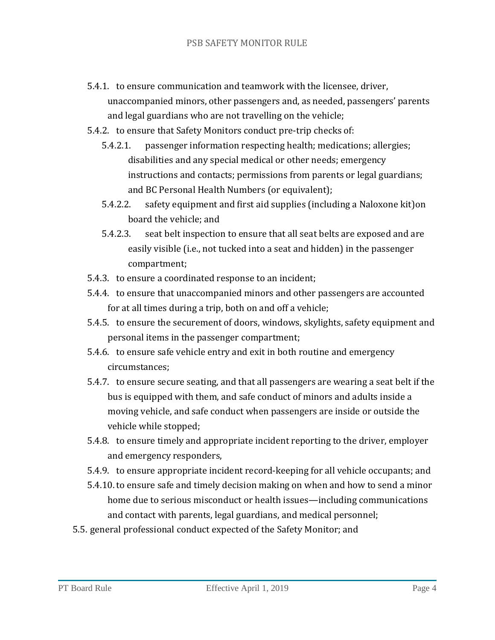- 5.4.1. to ensure communication and teamwork with the licensee, driver, unaccompanied minors, other passengers and, as needed, passengers' parents and legal guardians who are not travelling on the vehicle;
- 5.4.2. to ensure that Safety Monitors conduct pre-trip checks of:
	- 5.4.2.1. passenger information respecting health; medications; allergies; disabilities and any special medical or other needs; emergency instructions and contacts; permissions from parents or legal guardians; and BC Personal Health Numbers (or equivalent);
	- 5.4.2.2. safety equipment and first aid supplies (including a Naloxone kit)on board the vehicle; and
	- 5.4.2.3. seat belt inspection to ensure that all seat belts are exposed and are easily visible (i.e., not tucked into a seat and hidden) in the passenger compartment;
- 5.4.3. to ensure a coordinated response to an incident;
- 5.4.4. to ensure that unaccompanied minors and other passengers are accounted for at all times during a trip, both on and off a vehicle;
- 5.4.5. to ensure the securement of doors, windows, skylights, safety equipment and personal items in the passenger compartment;
- 5.4.6. to ensure safe vehicle entry and exit in both routine and emergency circumstances;
- 5.4.7. to ensure secure seating, and that all passengers are wearing a seat belt if the bus is equipped with them, and safe conduct of minors and adults inside a moving vehicle, and safe conduct when passengers are inside or outside the vehicle while stopped;
- 5.4.8. to ensure timely and appropriate incident reporting to the driver, employer and emergency responders,
- 5.4.9. to ensure appropriate incident record-keeping for all vehicle occupants; and
- 5.4.10. to ensure safe and timely decision making on when and how to send a minor home due to serious misconduct or health issues—including communications and contact with parents, legal guardians, and medical personnel;
- 5.5. general professional conduct expected of the Safety Monitor; and